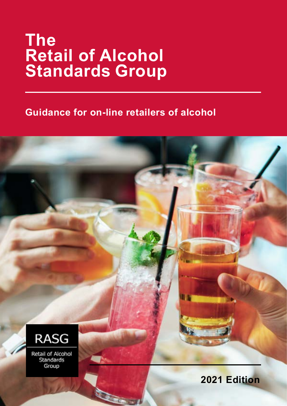# **The Retail of Alcohol Standards Group**

### **Guidance for on-line retailers of alcohol**

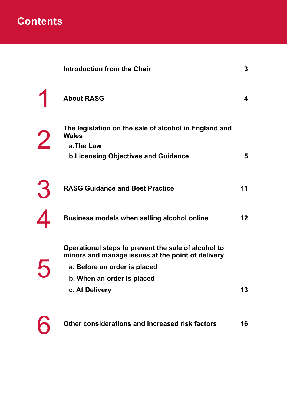## **Contents**

| Introduction from the Chair                                                                                                                                                              | 3                       |
|------------------------------------------------------------------------------------------------------------------------------------------------------------------------------------------|-------------------------|
| <b>About RASG</b>                                                                                                                                                                        | $\overline{\mathbf{4}}$ |
| The legislation on the sale of alcohol in England and<br><b>Wales</b><br>a.The Law<br><b>b.Licensing Objectives and Guidance</b>                                                         | 5                       |
| <b>RASG Guidance and Best Practice</b>                                                                                                                                                   | 11                      |
| <b>Business models when selling alcohol online</b>                                                                                                                                       | 12                      |
| Operational steps to prevent the sale of alcohol to<br>minors and manage issues at the point of delivery<br>a. Before an order is placed<br>b. When an order is placed<br>c. At Delivery | 13                      |
| Other considerations and increased risk factors                                                                                                                                          | 16                      |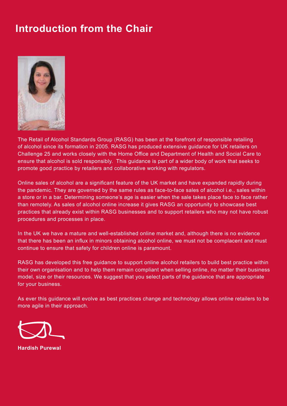## **Introduction from the Chair**



The Retail of Alcohol Standards Group (RASG) has been at the forefront of responsible retailing of alcohol since its formation in 2005. RASG has produced extensive guidance for UK retailers on Challenge 25 and works closely with the Home Office and Department of Health and Social Care to ensure that alcohol is sold responsibly. This guidance is part of a wider body of work that seeks to promote good practice by retailers and collaborative working with regulators.

Online sales of alcohol are a significant feature of the UK market and have expanded rapidly during the pandemic. They are governed by the same rules as face-to-face sales of alcohol i.e., sales within a store or in a bar. Determining someone's age is easier when the sale takes place face to face rather than remotely. As sales of alcohol online increase it gives RASG an opportunity to showcase best practices that already exist within RASG businesses and to support retailers who may not have robust procedures and processes in place.

In the UK we have a mature and well-established online market and, although there is no evidence that there has been an influx in minors obtaining alcohol online, we must not be complacent and must continue to ensure that safety for children online is paramount.

RASG has developed this free guidance to support online alcohol retailers to build best practice within their own organisation and to help them remain compliant when selling online, no matter their business model, size or their resources. We suggest that you select parts of the guidance that are appropriate for your business.

As ever this guidance will evolve as best practices change and technology allows online retailers to be more agile in their approach.



**Hardish Purewal**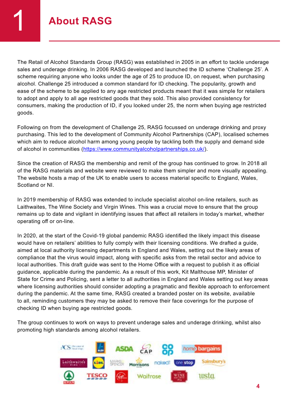The Retail of Alcohol Standards Group (RASG) was established in 2005 in an effort to tackle underage sales and underage drinking. In 2006 RASG developed and launched the ID scheme 'Challenge 25'. A scheme requiring anyone who looks under the age of 25 to produce ID, on request, when purchasing alcohol. Challenge 25 introduced a common standard for ID checking. The popularity, growth and ease of the scheme to be applied to any age restricted products meant that it was simple for retailers to adopt and apply to all age restricted goods that they sold. This also provided consistency for consumers, making the production of ID, if you looked under 25, the norm when buying age restricted goods.

Following on from the development of Challenge 25, RASG focussed on underage drinking and proxy purchasing. This led to the development of Community Alcohol Partnerships (CAP), localised schemes which aim to reduce alcohol harm among young people by tackling both the supply and demand side of alcohol in communities (<https://www.communityalcoholpartnerships.co.uk/>).

Since the creation of RASG the membership and remit of the group has continued to grow. In 2018 all of the RASG materials and website were reviewed to make them simpler and more visually appealing. The website hosts a map of the UK to enable users to access material specific to England, Wales, Scotland or NI.

In 2019 membership of RASG was extended to include specialist alcohol on-line retailers, such as Laithwaites, The Wine Society and Virgin Wines. This was a crucial move to ensure that the group remains up to date and vigilant in identifying issues that affect all retailers in today's market, whether operating off or on-line.

In 2020, at the start of the Covid-19 global pandemic RASG identified the likely impact this disease would have on retailers' abilities to fully comply with their licensing conditions. We drafted a guide, aimed at local authority licensing departments in England and Wales, setting out the likely areas of compliance that the virus would impact, along with specific asks from the retail sector and advice to local authorities. This draft guide was sent to the Home Office with a request to publish it as official guidance, applicable during the pandemic. As a result of this work, Kit Malthouse MP, Minister of State for Crime and Policing, sent a letter to all authorities in England and Wales setting out key areas where licensing authorities should consider adopting a pragmatic and flexible approach to enforcement during the pandemic. At the same time, RASG created a branded poster on its website, available to all, reminding customers they may be asked to remove their face coverings for the purpose of checking ID when buying age restricted goods.

The group continues to work on ways to prevent underage sales and underage drinking, whilst also promoting high standards among alcohol retailers.

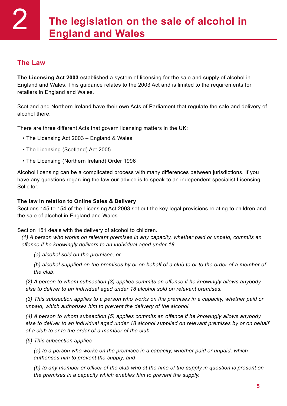### **The Law**

**The Licensing Act 2003** established a system of licensing for the sale and supply of alcohol in England and Wales. This guidance relates to the 2003 Act and is limited to the requirements for retailers in England and Wales.

Scotland and Northern Ireland have their own Acts of Parliament that regulate the sale and delivery of alcohol there.

There are three different Acts that govern licensing matters in the UK:

- The Licensing Act 2003 England & Wales
- The Licensing (Scotland) Act 2005
- The Licensing (Northern Ireland) Order 1996

Alcohol licensing can be a complicated process with many differences between jurisdictions. If you have any questions regarding the law our advice is to speak to an independent specialist Licensing Solicitor.

### **The law in relation to Online Sales & Delivery**

Sections 145 to 154 of the Licensing Act 2003 set out the key legal provisions relating to children and the sale of alcohol in England and Wales.

Section 151 deals with the delivery of alcohol to children.

*(1) A person who works on relevant premises in any capacity, whether paid or unpaid, commits an offence if he knowingly delivers to an individual aged under 18—*

*(a) alcohol sold on the premises, or*

*(b) alcohol supplied on the premises by or on behalf of a club to or to the order of a member of the club.*

*(2) A person to whom subsection (3) applies commits an offence if he knowingly allows anybody else to deliver to an individual aged under 18 alcohol sold on relevant premises.*

*(3) This subsection applies to a person who works on the premises in a capacity, whether paid or unpaid, which authorises him to prevent the delivery of the alcohol.*

*(4) A person to whom subsection (5) applies commits an offence if he knowingly allows anybody else to deliver to an individual aged under 18 alcohol supplied on relevant premises by or on behalf of a club to or to the order of a member of the club.*

*(5) This subsection applies—*

*(a) to a person who works on the premises in a capacity, whether paid or unpaid, which authorises him to prevent the supply, and*

*(b) to any member or officer of the club who at the time of the supply in question is present on the premises in a capacity which enables him to prevent the supply.*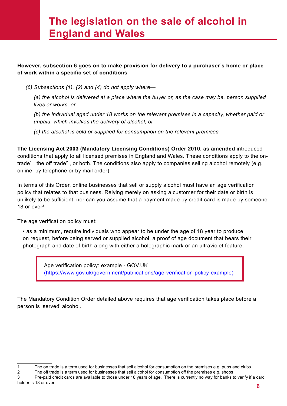### **However, subsection 6 goes on to make provision for delivery to a purchaser's home or place of work within a specific set of conditions**

*(6) Subsections (1), (2) and (4) do not apply where—*

*(a) the alcohol is delivered at a place where the buyer or, as the case may be, person supplied lives or works, or*

*(b) the individual aged under 18 works on the relevant premises in a capacity, whether paid or unpaid, which involves the delivery of alcohol, or*

*(c) the alcohol is sold or supplied for consumption on the relevant premises.*

**The Licensing Act 2003 (Mandatory Licensing Conditions) Order 2010, as amended** introduced conditions that apply to all licensed premises in England and Wales. These conditions apply to the ontrade<sup>1</sup>, the off trade<sup>2</sup>, or both. The conditions also apply to companies selling alcohol remotely (e.g. online, by telephone or by mail order).

In terms of this Order, online businesses that sell or supply alcohol must have an age verification policy that relates to that business. Relying merely on asking a customer for their date or birth is unlikely to be sufficient, nor can you assume that a payment made by credit card is made by someone 18 or over<sup>3</sup>.

The age verification policy must:

• as a minimum, require individuals who appear to be under the age of 18 year to produce, on request, before being served or supplied alcohol, a proof of age document that bears their photograph and date of birth along with either a holographic mark or an ultraviolet feature.

Age verification policy: example - GOV.UK [\(https://www.gov.uk/government/publications/age-verification-policy-example\)]((https://www.gov.uk/government/publications/age-verification-policy-example) ) 

The Mandatory Condition Order detailed above requires that age verification takes place before a person is 'served' alcohol.

<sup>1</sup> The on trade is a term used for businesses that sell alcohol for consumption on the premises e.g. pubs and clubs

<sup>2</sup> The off trade is a term used for businesses that sell alcohol for consumption off the premises e.g. shops

<sup>3</sup> Pre-paid credit cards are available to those under 18 years of age. There is currently no way for banks to verify if a card holder is 18 or over.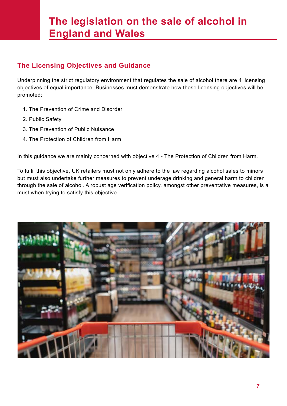## **The legislation on the sale of alcohol in England and Wales**

### **The Licensing Objectives and Guidance**

Underpinning the strict regulatory environment that regulates the sale of alcohol there are 4 licensing objectives of equal importance. Businesses must demonstrate how these licensing objectives will be promoted:

- 1. The Prevention of Crime and Disorder
- 2. Public Safety
- 3. The Prevention of Public Nuisance
- 4. The Protection of Children from Harm

In this guidance we are mainly concerned with objective 4 - The Protection of Children from Harm.

To fulfil this objective, UK retailers must not only adhere to the law regarding alcohol sales to minors but must also undertake further measures to prevent underage drinking and general harm to children through the sale of alcohol. A robust age verification policy, amongst other preventative measures, is a must when trying to satisfy this objective.

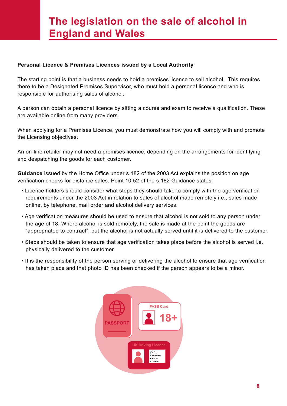### **Personal Licence & Premises Licences issued by a Local Authority**

The starting point is that a business needs to hold a premises licence to sell alcohol. This requires there to be a Designated Premises Supervisor, who must hold a personal licence and who is responsible for authorising sales of alcohol.

A person can obtain a personal licence by sitting a course and exam to receive a qualification. These are available online from many providers.

When applying for a Premises Licence, you must demonstrate how you will comply with and promote the Licensing objectives.

An on-line retailer may not need a premises licence, depending on the arrangements for identifying and despatching the goods for each customer.

**Guidance** issued by the Home Office under s.182 of the 2003 Act explains the position on age verification checks for distance sales. Point 10.52 of the s.182 Guidance states:

- Licence holders should consider what steps they should take to comply with the age verification requirements under the 2003 Act in relation to sales of alcohol made remotely i.e., sales made online, by telephone, mail order and alcohol delivery services.
- Age verification measures should be used to ensure that alcohol is not sold to any person under the age of 18. Where alcohol is sold remotely, the sale is made at the point the goods are "appropriated to contract", but the alcohol is not actually served until it is delivered to the customer.
- Steps should be taken to ensure that age verification takes place before the alcohol is served i.e. physically delivered to the customer.
- It is the responsibility of the person serving or delivering the alcohol to ensure that age verification has taken place and that photo ID has been checked if the person appears to be a minor.

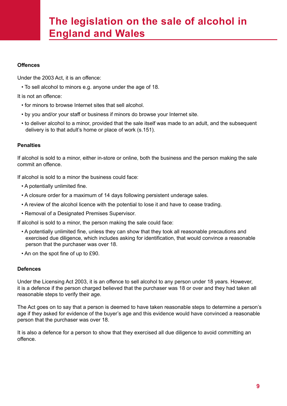## **The legislation on the sale of alcohol in England and Wales**

### **Offences**

Under the 2003 Act, it is an offence:

• To sell alcohol to minors e.g. anyone under the age of 18.

It is not an offence:

- for minors to browse Internet sites that sell alcohol.
- by you and/or your staff or business if minors do browse your Internet site.
- to deliver alcohol to a minor, provided that the sale itself was made to an adult, and the subsequent delivery is to that adult's home or place of work (s.151).

### **Penalties**

If alcohol is sold to a minor, either in-store or online, both the business and the person making the sale commit an offence.

If alcohol is sold to a minor the business could face:

- A potentially unlimited fine.
- A closure order for a maximum of 14 days following persistent underage sales.
- A review of the alcohol licence with the potential to lose it and have to cease trading.
- Removal of a Designated Premises Supervisor.

If alcohol is sold to a minor, the person making the sale could face:

- A potentially unlimited fine, unless they can show that they took all reasonable precautions and exercised due diligence, which includes asking for identification, that would convince a reasonable person that the purchaser was over 18.
- An on the spot fine of up to £90.

### **Defences**

Under the Licensing Act 2003, it is an offence to sell alcohol to any person under 18 years. However, it is a defence if the person charged believed that the purchaser was 18 or over and they had taken all reasonable steps to verify their age.

The Act goes on to say that a person is deemed to have taken reasonable steps to determine a person's age if they asked for evidence of the buyer's age and this evidence would have convinced a reasonable person that the purchaser was over 18.

It is also a defence for a person to show that they exercised all due diligence to avoid committing an offence.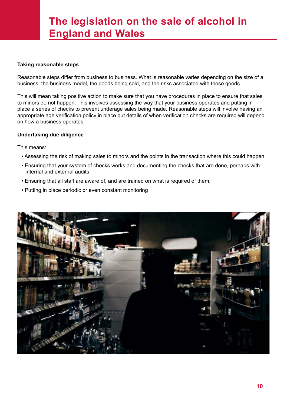## **The legislation on the sale of alcohol in England and Wales**

### **Taking reasonable steps**

Reasonable steps differ from business to business. What is reasonable varies depending on the size of a business, the business model, the goods being sold, and the risks associated with those goods.

This will mean taking positive action to make sure that you have procedures in place to ensure that sales to minors do not happen. This involves assessing the way that your business operates and putting in place a series of checks to prevent underage sales being made. Reasonable steps will involve having an appropriate age verification policy in place but details of when verification checks are required will depend on how a business operates.

### **Undertaking due diligence**

This means:

- Assessing the risk of making sales to minors and the points in the transaction where this could happen
- Ensuring that your system of checks works and documenting the checks that are done, perhaps with internal and external audits
- Ensuring that all staff are aware of, and are trained on what is required of them,
- Putting in place periodic or even constant monitoring

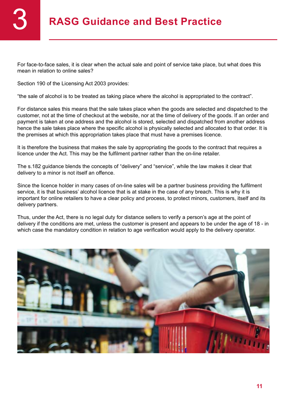For face-to-face sales, it is clear when the actual sale and point of service take place, but what does this mean in relation to online sales?

Section 190 of the Licensing Act 2003 provides:

"the sale of alcohol is to be treated as taking place where the alcohol is appropriated to the contract".

For distance sales this means that the sale takes place when the goods are selected and dispatched to the customer, not at the time of checkout at the website, nor at the time of delivery of the goods. If an order and payment is taken at one address and the alcohol is stored, selected and dispatched from another address hence the sale takes place where the specific alcohol is physically selected and allocated to that order. It is the premises at which this appropriation takes place that must have a premises licence.

It is therefore the business that makes the sale by appropriating the goods to the contract that requires a licence under the Act. This may be the fulfilment partner rather than the on-line retailer.

The s.182 guidance blends the concepts of "delivery" and "service", while the law makes it clear that delivery to a minor is not itself an offence.

Since the licence holder in many cases of on-line sales will be a partner business providing the fulfilment service, it is that business' alcohol licence that is at stake in the case of any breach. This is why it is important for online retailers to have a clear policy and process, to protect minors, customers, itself and its delivery partners.

Thus, under the Act, there is no legal duty for distance sellers to verify a person's age at the point of delivery if the conditions are met, unless the customer is present and appears to be under the age of 18 - in which case the mandatory condition in relation to age verification would apply to the delivery operator.

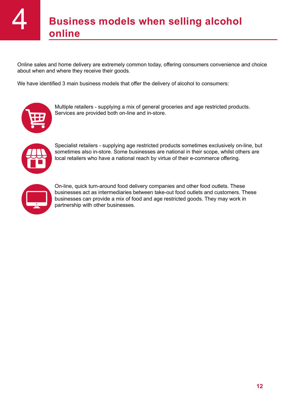Online sales and home delivery are extremely common today, offering consumers convenience and choice about when and where they receive their goods.

We have identified 3 main business models that offer the delivery of alcohol to consumers:



Multiple retailers - supplying a mix of general groceries and age restricted products. Services are provided both on-line and in-store.



Specialist retailers - supplying age restricted products sometimes exclusively on-line, but sometimes also in-store. Some businesses are national in their scope, whilst others are local retailers who have a national reach by virtue of their e-commerce offering.



On-line, quick turn-around food delivery companies and other food outlets. These businesses act as intermediaries between take-out food outlets and customers. These businesses can provide a mix of food and age restricted goods. They may work in partnership with other businesses.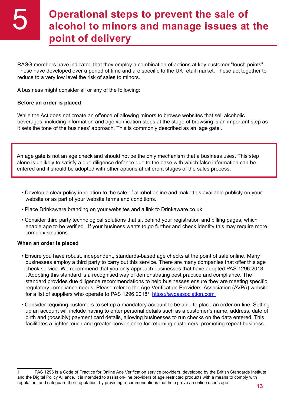# **b Operational steps to prevent the sale of alcohol to minors and manage issues at the point of delivery**

RASG members have indicated that they employ a combination of actions at key customer "touch points". These have developed over a period of time and are specific to the UK retail market. These act together to reduce to a very low level the risk of sales to minors.

A business might consider all or any of the following:

#### **Before an order is placed**

While the Act does not create an offence of allowing minors to browse websites that sell alcoholic beverages, including information and age verification steps at the stage of browsing is an important step as it sets the tone of the business' approach. This is commonly described as an 'age gate'.

An age gate is not an age check and should not be the only mechanism that a business uses. This step alone is unlikely to satisfy a due diligence defence due to the ease with which false information can be entered and it should be adopted with other options at different stages of the sales process.

- Develop a clear policy in relation to the sale of alcohol online and make this available publicly on your website or as part of your website terms and conditions.
- Place Drinkaware branding on your websites and a link to Drinkaware.co.uk.
- Consider third party technological solutions that sit behind your registration and billing pages, which enable age to be verified. If your business wants to go further and check identity this may require more complex solutions.

#### **When an order is placed**

- Ensure you have robust, independent, standards-based age checks at the point of sale online. Many businesses employ a third party to carry out this service. There are many companies that offer this age check service. We recommend that you only approach businesses that have adopted PAS 1296:2018 . Adopting this standard is a recognised way of demonstrating best practice and compliance. The standard provides due diligence recommendations to help businesses ensure they are meeting specific regulatory compliance needs. Please refer to the Age Verification Providers' Association (AVPA) website for a list of suppliers who operate to PAS 1296:2018<sup>1</sup>\_<u>https://avpassociation.com\_</u>
- Consider requiring customers to set up a mandatory account to be able to place an order on-line. Setting up an account will include having to enter personal details such as a customer's name, address, date of birth and (possibly) payment card details, allowing businesses to run checks on the data entered. This facilitates a lighter touch and greater convenience for returning customers, promoting repeat business.

<sup>1</sup> PAS 1296 is a Code of Practice for Online Age Verification service providers, developed by the British Standards Institute and the Digital Policy Alliance. It is intended to assist on-line providers of age restricted products with a means to comply with regulation, and safeguard their reputation, by providing recommendations that help prove an online user's age.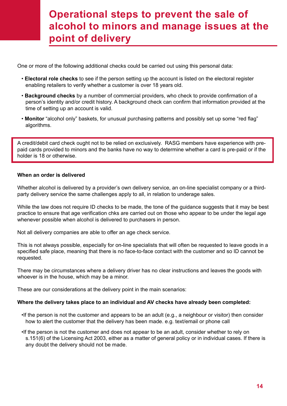### **Operational steps to prevent the sale of alcohol to minors and manage issues at the point of delivery**

One or more of the following additional checks could be carried out using this personal data:

- **Electoral role checks** to see if the person setting up the account is listed on the electoral register enabling retailers to verify whether a customer is over 18 years old.
- **Background checks** by a number of commercial providers, who check to provide confirmation of a person's identity and/or credit history. A background check can confirm that information provided at the time of setting up an account is valid.
- **Monitor** "alcohol only" baskets, for unusual purchasing patterns and possibly set up some "red flag" algorithms.

A credit/debit card check ought not to be relied on exclusively. RASG members have experience with prepaid cards provided to minors and the banks have no way to determine whether a card is pre-paid or if the holder is 18 or otherwise.

#### **When an order is delivered**

Whether alcohol is delivered by a provider's own delivery service, an on-line specialist company or a thirdparty delivery service the same challenges apply to all, in relation to underage sales.

While the law does not require ID checks to be made, the tone of the guidance suggests that it may be best practice to ensure that age verification chks are carried out on those who appear to be under the legal age whenever possible when alcohol is delivered to purchasers in person.

Not all delivery companies are able to offer an age check service.

This is not always possible, especially for on-line specialists that will often be requested to leave goods in a specified safe place, meaning that there is no face-to-face contact with the customer and so ID cannot be requested.

There may be circumstances where a delivery driver has no clear instructions and leaves the goods with whoever is in the house, which may be a minor.

These are our considerations at the delivery point in the main scenarios:

#### **Where the delivery takes place to an individual and AV checks have already been completed:**

- •If the person is not the customer and appears to be an adult (e.g., a neighbour or visitor) then consider how to alert the customer that the delivery has been made. e.g. text/email or phone call
- •If the person is not the customer and does not appear to be an adult, consider whether to rely on s.151(6) of the Licensing Act 2003, either as a matter of general policy or in individual cases. If there is any doubt the delivery should not be made.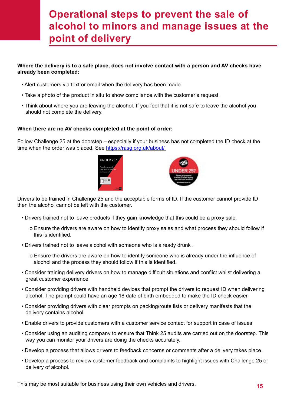### **Operational steps to prevent the sale of alcohol to minors and manage issues at the point of delivery**

### **Where the delivery is to a safe place, does not involve contact with a person and AV checks have already been completed:**

- Alert customers via text or email when the delivery has been made.
- Take a photo of the product in situ to show compliance with the customer's request.
- Think about where you are leaving the alcohol. If you feel that it is not safe to leave the alcohol you should not complete the delivery.

#### **When there are no AV checks completed at the point of order:**

Follow Challenge 25 at the doorstep – especially if your business has not completed the ID check at the time when the order was placed. See [https://rasg.org.uk/about/](https://rasg.org.uk/about/ ) 



Drivers to be trained in Challenge 25 and the acceptable forms of ID. If the customer cannot provide ID then the alcohol cannot be left with the customer.

- Drivers trained not to leave products if they gain knowledge that this could be a proxy sale.
	- o Ensure the drivers are aware on how to identify proxy sales and what process they should follow if this is identified.
- Drivers trained not to leave alcohol with someone who is already drunk .
	- o Ensure the drivers are aware on how to identify someone who is already under the influence of alcohol and the process they should follow if this is identified.
- Consider training delivery drivers on how to manage difficult situations and conflict whilst delivering a great customer experience.
- Consider providing drivers with handheld devices that prompt the drivers to request ID when delivering alcohol. The prompt could have an age 18 date of birth embedded to make the ID check easier.
- Consider providing drivers with clear prompts on packing/route lists or delivery manifests that the delivery contains alcohol.
- Enable drivers to provide customers with a customer service contact for support in case of issues.
- Consider using an auditing company to ensure that Think 25 audits are carried out on the doorstep. This way you can monitor your drivers are doing the checks accurately.
- Develop a process that allows drivers to feedback concerns or comments after a delivery takes place.
- Develop a process to review customer feedback and complaints to highlight issues with Challenge 25 or delivery of alcohol.

This may be most suitable for business using their own vehicles and drivers.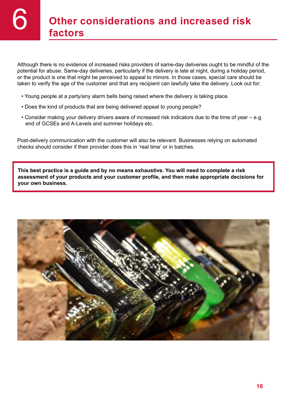Although there is no evidence of increased risks providers of same-day deliveries ought to be mindful of the potential for abuse. Same-day deliveries, particularly if the delivery is late at night, during a holiday period, or the product is one that might be perceived to appeal to minors. In those cases, special care should be taken to verify the age of the customer and that any recipient can lawfully take the delivery. Look out for:

- Young people at a party/any alarm bells being raised where the delivery is taking place.
- Does the kind of products that are being delivered appeal to young people?
- Consider making your delivery drivers aware of increased risk indicators due to the time of year e.g. end of GCSEs and A-Levels and summer holidays etc.

Post-delivery communication with the customer will also be relevant. Businesses relying on automated checks should consider if their provider does this in 'real time' or in batches.

**This best practice is a guide and by no means exhaustive. You will need to complete a risk assessment of your products and your customer profile, and then make appropriate decisions for your own business.**